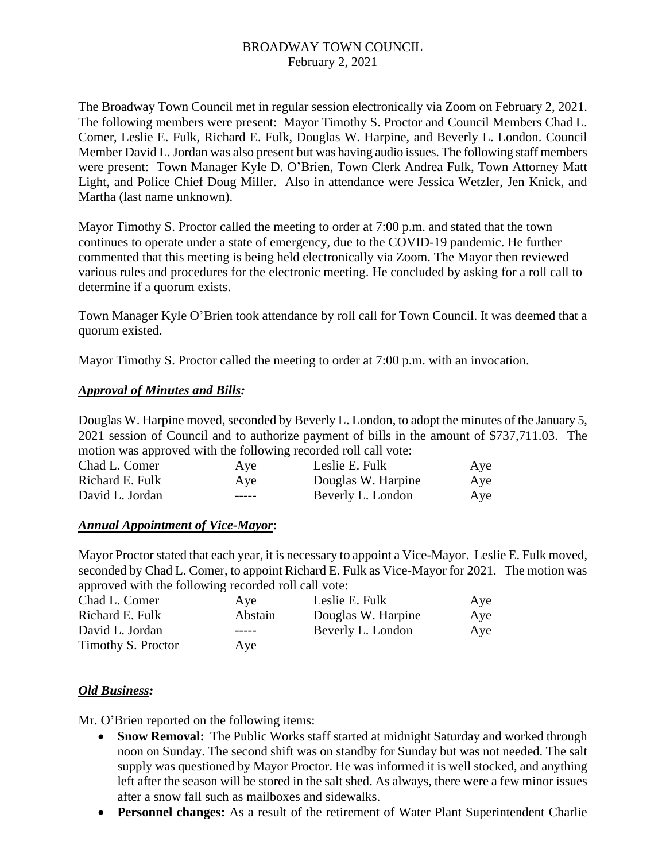# BROADWAY TOWN COUNCIL February 2, 2021

The Broadway Town Council met in regular session electronically via Zoom on February 2, 2021. The following members were present: Mayor Timothy S. Proctor and Council Members Chad L. Comer, Leslie E. Fulk, Richard E. Fulk, Douglas W. Harpine, and Beverly L. London. Council Member David L. Jordan was also present but was having audio issues. The following staff members were present: Town Manager Kyle D. O'Brien, Town Clerk Andrea Fulk, Town Attorney Matt Light, and Police Chief Doug Miller. Also in attendance were Jessica Wetzler, Jen Knick, and Martha (last name unknown).

Mayor Timothy S. Proctor called the meeting to order at 7:00 p.m. and stated that the town continues to operate under a state of emergency, due to the COVID-19 pandemic. He further commented that this meeting is being held electronically via Zoom. The Mayor then reviewed various rules and procedures for the electronic meeting. He concluded by asking for a roll call to determine if a quorum exists.

Town Manager Kyle O'Brien took attendance by roll call for Town Council. It was deemed that a quorum existed.

Mayor Timothy S. Proctor called the meeting to order at 7:00 p.m. with an invocation.

# *Approval of Minutes and Bills:*

Douglas W. Harpine moved, seconded by Beverly L. London, to adopt the minutes of the January 5, 2021 session of Council and to authorize payment of bills in the amount of \$737,711.03. The motion was approved with the following recorded roll call vote:

| Chad L. Comer   | Aye           | Leslie E. Fulk     | Aye |
|-----------------|---------------|--------------------|-----|
| Richard E. Fulk | Aye           | Douglas W. Harpine | Aye |
| David L. Jordan | $\frac{1}{2}$ | Beverly L. London  | Aye |

# *Annual Appointment of Vice-Mayor***:**

Mayor Proctor stated that each year, it is necessary to appoint a Vice-Mayor. Leslie E. Fulk moved, seconded by Chad L. Comer, to appoint Richard E. Fulk as Vice-Mayor for 2021. The motion was approved with the following recorded roll call vote:

| Chad L. Comer      | Aye     | Leslie E. Fulk     | Aye |
|--------------------|---------|--------------------|-----|
| Richard E. Fulk    | Abstain | Douglas W. Harpine | Aye |
| David L. Jordan    | -----   | Beverly L. London  | Aye |
| Timothy S. Proctor | Ave     |                    |     |

# *Old Business:*

Mr. O'Brien reported on the following items:

- **Snow Removal:** The Public Works staff started at midnight Saturday and worked through noon on Sunday. The second shift was on standby for Sunday but was not needed. The salt supply was questioned by Mayor Proctor. He was informed it is well stocked, and anything left after the season will be stored in the salt shed. As always, there were a few minor issues after a snow fall such as mailboxes and sidewalks.
- **Personnel changes:** As a result of the retirement of Water Plant Superintendent Charlie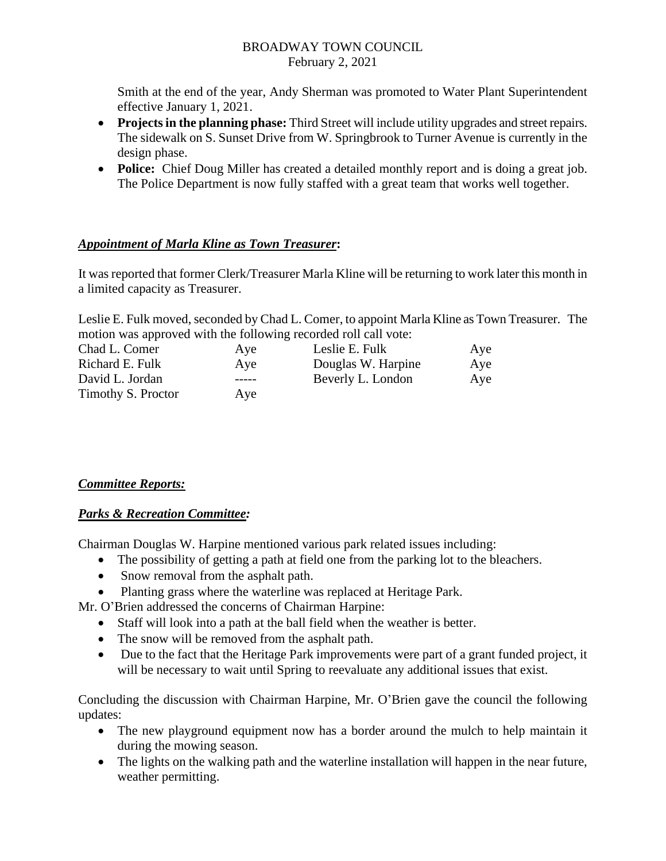### BROADWAY TOWN COUNCIL February 2, 2021

Smith at the end of the year, Andy Sherman was promoted to Water Plant Superintendent effective January 1, 2021.

- **Projects in the planning phase:** Third Street will include utility upgrades and street repairs. The sidewalk on S. Sunset Drive from W. Springbrook to Turner Avenue is currently in the design phase.
- **Police:** Chief Doug Miller has created a detailed monthly report and is doing a great job. The Police Department is now fully staffed with a great team that works well together.

# *Appointment of Marla Kline as Town Treasurer***:**

It was reported that former Clerk/Treasurer Marla Kline will be returning to work later this month in a limited capacity as Treasurer.

Leslie E. Fulk moved, seconded by Chad L. Comer, to appoint Marla Kline as Town Treasurer. The motion was approved with the following recorded roll call vote:

| Chad L. Comer      | Aye     | Leslie E. Fulk     | Aye |
|--------------------|---------|--------------------|-----|
| Richard E. Fulk    | Aye     | Douglas W. Harpine | Aye |
| David L. Jordan    | $-----$ | Beverly L. London  | Aye |
| Timothy S. Proctor | Ave     |                    |     |

# *Committee Reports:*

# *Parks & Recreation Committee:*

Chairman Douglas W. Harpine mentioned various park related issues including:

- The possibility of getting a path at field one from the parking lot to the bleachers.
- Snow removal from the asphalt path.
- Planting grass where the waterline was replaced at Heritage Park.

Mr. O'Brien addressed the concerns of Chairman Harpine:

- Staff will look into a path at the ball field when the weather is better.
- The snow will be removed from the asphalt path.
- Due to the fact that the Heritage Park improvements were part of a grant funded project, it will be necessary to wait until Spring to reevaluate any additional issues that exist.

Concluding the discussion with Chairman Harpine, Mr. O'Brien gave the council the following updates:

- The new playground equipment now has a border around the mulch to help maintain it during the mowing season.
- The lights on the walking path and the waterline installation will happen in the near future, weather permitting.